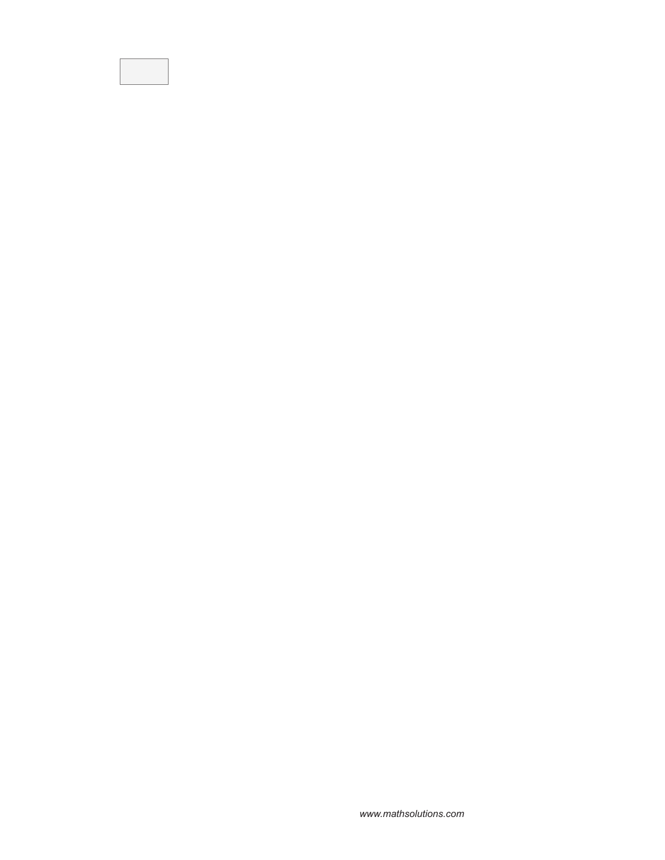